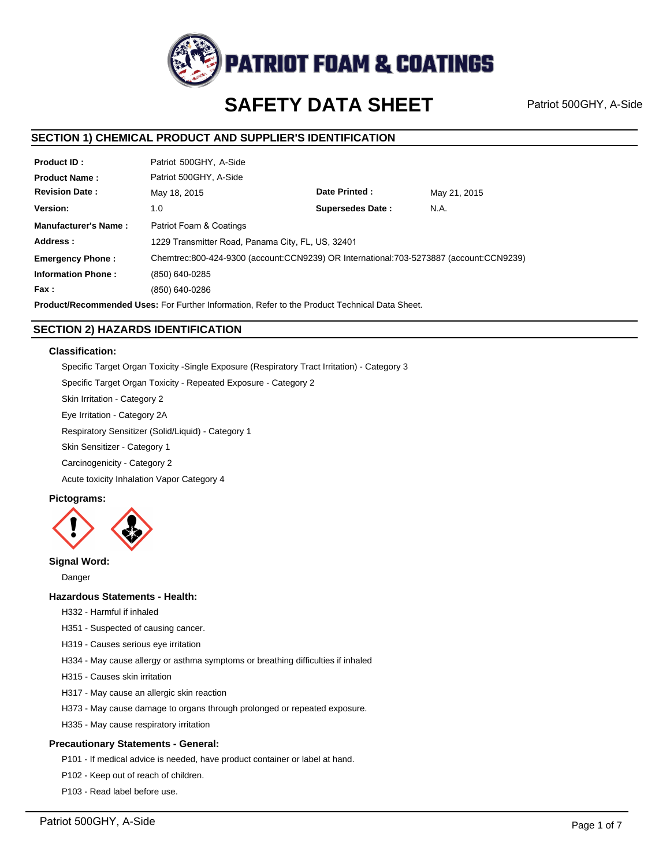

# **SAFETY DATA SHEET**

Patriot 500GHY, A-Side

# **SECTION 1) CHEMICAL PRODUCT AND SUPPLIER'S IDENTIFICATION**

| <b>Product ID:</b>          | Patriot 500GHY, A-Side                                                                 |                         |              |  |  |
|-----------------------------|----------------------------------------------------------------------------------------|-------------------------|--------------|--|--|
| <b>Product Name:</b>        | Patriot 500GHY, A-Side                                                                 |                         |              |  |  |
| <b>Revision Date:</b>       | May 18, 2015                                                                           | Date Printed:           | May 21, 2015 |  |  |
| Version:                    | 1.0                                                                                    | <b>Supersedes Date:</b> | N.A.         |  |  |
| <b>Manufacturer's Name:</b> | Patriot Foam & Coatings                                                                |                         |              |  |  |
| Address:                    | 1229 Transmitter Road, Panama City, FL, US, 32401                                      |                         |              |  |  |
| <b>Emergency Phone:</b>     | Chemtrec:800-424-9300 (account:CCN9239) OR International:703-5273887 (account:CCN9239) |                         |              |  |  |
| <b>Information Phone:</b>   | (850) 640-0285                                                                         |                         |              |  |  |
| Fax :                       | (850) 640-0286                                                                         |                         |              |  |  |
|                             |                                                                                        |                         |              |  |  |

**Product/Recommended Uses:** For Further Information, Refer to the Product Technical Data Sheet.

# **SECTION 2) HAZARDS IDENTIFICATION**

### **Classification:**

Specific Target Organ Toxicity -Single Exposure (Respiratory Tract Irritation) - Category 3 Specific Target Organ Toxicity - Repeated Exposure - Category 2

Skin Irritation - Category 2

Eye Irritation - Category 2A

Respiratory Sensitizer (Solid/Liquid) - Category 1

Skin Sensitizer - Category 1

Carcinogenicity - Category 2

Acute toxicity Inhalation Vapor Category 4

# **Pictograms:**



# **Signal Word:**

Danger

### **Hazardous Statements - Health:**

H332 - Harmful if inhaled

- H351 Suspected of causing cancer.
- H319 Causes serious eye irritation
- H334 May cause allergy or asthma symptoms or breathing difficulties if inhaled
- H315 Causes skin irritation
- H317 May cause an allergic skin reaction
- H373 May cause damage to organs through prolonged or repeated exposure.
- H335 May cause respiratory irritation

### **Precautionary Statements - General:**

P101 - If medical advice is needed, have product container or label at hand.

- P102 Keep out of reach of children.
- P103 Read label before use.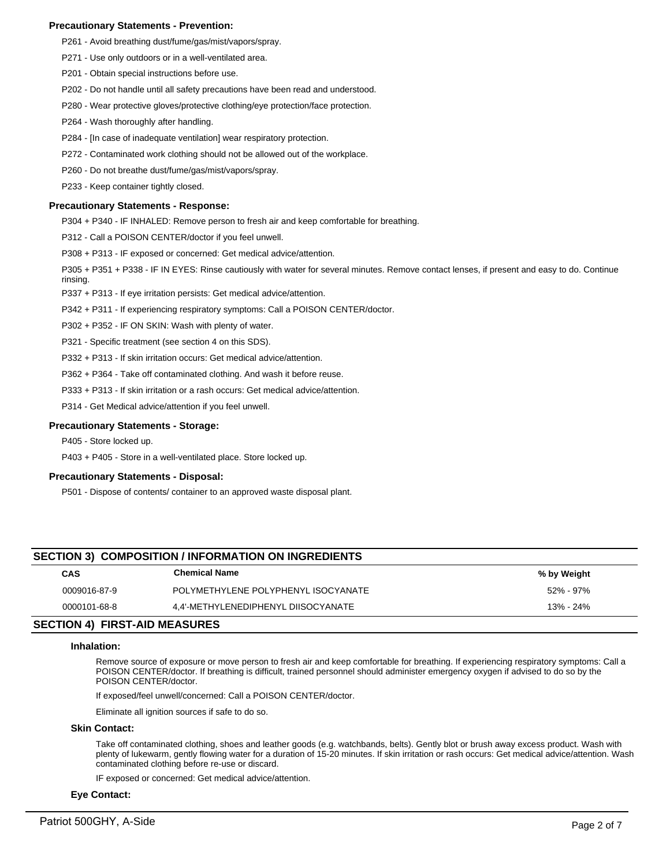### **Precautionary Statements - Prevention:**

- P261 Avoid breathing dust/fume/gas/mist/vapors/spray.
- P271 Use only outdoors or in a well-ventilated area.
- P201 Obtain special instructions before use.
- P202 Do not handle until all safety precautions have been read and understood.
- P280 Wear protective gloves/protective clothing/eye protection/face protection.
- P264 Wash thoroughly after handling.
- P284 [In case of inadequate ventilation] wear respiratory protection.
- P272 Contaminated work clothing should not be allowed out of the workplace.
- P260 Do not breathe dust/fume/gas/mist/vapors/spray.
- P233 Keep container tightly closed.

### **Precautionary Statements - Response:**

P304 + P340 - IF INHALED: Remove person to fresh air and keep comfortable for breathing.

P312 - Call a POISON CENTER/doctor if you feel unwell.

P308 + P313 - IF exposed or concerned: Get medical advice/attention.

P305 + P351 + P338 - IF IN EYES: Rinse cautiously with water for several minutes. Remove contact lenses, if present and easy to do. Continue rinsing.

P337 + P313 - If eye irritation persists: Get medical advice/attention.

P342 + P311 - If experiencing respiratory symptoms: Call a POISON CENTER/doctor.

P302 + P352 - IF ON SKIN: Wash with plenty of water.

P321 - Specific treatment (see section 4 on this SDS).

P332 + P313 - If skin irritation occurs: Get medical advice/attention.

P362 + P364 - Take off contaminated clothing. And wash it before reuse.

P333 + P313 - If skin irritation or a rash occurs: Get medical advice/attention.

P314 - Get Medical advice/attention if you feel unwell.

### **Precautionary Statements - Storage:**

P405 - Store locked up.

P403 + P405 - Store in a well-ventilated place. Store locked up.

### **Precautionary Statements - Disposal:**

P501 - Dispose of contents/ container to an approved waste disposal plant.

# **SECTION 3) COMPOSITION / INFORMATION ON INGREDIENTS**

| CAS          | <b>Chemical Name</b>                | % by Weight |
|--------------|-------------------------------------|-------------|
| 0009016-87-9 | POLYMETHYLENE POLYPHENYL ISOCYANATE | 52% - 97%   |
| 0000101-68-8 | 4.4'-METHYLENEDIPHENYL DIISOCYANATE | 13% - 24%   |

# **SECTION 4) FIRST-AID MEASURES**

### **Inhalation:**

Remove source of exposure or move person to fresh air and keep comfortable for breathing. If experiencing respiratory symptoms: Call a POISON CENTER/doctor. If breathing is difficult, trained personnel should administer emergency oxygen if advised to do so by the POISON CENTER/doctor.

If exposed/feel unwell/concerned: Call a POISON CENTER/doctor.

Eliminate all ignition sources if safe to do so.

### **Skin Contact:**

Take off contaminated clothing, shoes and leather goods (e.g. watchbands, belts). Gently blot or brush away excess product. Wash with plenty of lukewarm, gently flowing water for a duration of 15-20 minutes. If skin irritation or rash occurs: Get medical advice/attention. Wash contaminated clothing before re-use or discard.

IF exposed or concerned: Get medical advice/attention.

### **Eye Contact:**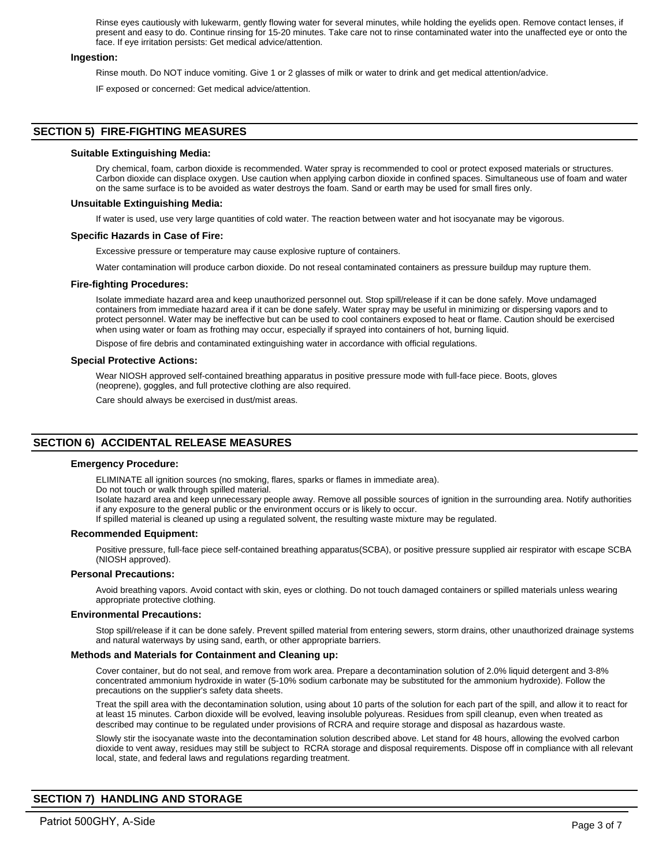Rinse eyes cautiously with lukewarm, gently flowing water for several minutes, while holding the eyelids open. Remove contact lenses, if present and easy to do. Continue rinsing for 15-20 minutes. Take care not to rinse contaminated water into the unaffected eye or onto the face. If eye irritation persists: Get medical advice/attention.

### **Ingestion:**

Rinse mouth. Do NOT induce vomiting. Give 1 or 2 glasses of milk or water to drink and get medical attention/advice.

IF exposed or concerned: Get medical advice/attention.

# **SECTION 5) FIRE-FIGHTING MEASURES**

### **Suitable Extinguishing Media:**

Dry chemical, foam, carbon dioxide is recommended. Water spray is recommended to cool or protect exposed materials or structures. Carbon dioxide can displace oxygen. Use caution when applying carbon dioxide in confined spaces. Simultaneous use of foam and water on the same surface is to be avoided as water destroys the foam. Sand or earth may be used for small fires only.

### **Unsuitable Extinguishing Media:**

If water is used, use very large quantities of cold water. The reaction between water and hot isocyanate may be vigorous.

### **Specific Hazards in Case of Fire:**

Excessive pressure or temperature may cause explosive rupture of containers.

Water contamination will produce carbon dioxide. Do not reseal contaminated containers as pressure buildup may rupture them.

### **Fire-fighting Procedures:**

Isolate immediate hazard area and keep unauthorized personnel out. Stop spill/release if it can be done safely. Move undamaged containers from immediate hazard area if it can be done safely. Water spray may be useful in minimizing or dispersing vapors and to protect personnel. Water may be ineffective but can be used to cool containers exposed to heat or flame. Caution should be exercised when using water or foam as frothing may occur, especially if sprayed into containers of hot, burning liquid.

Dispose of fire debris and contaminated extinguishing water in accordance with official regulations.

### **Special Protective Actions:**

Wear NIOSH approved self-contained breathing apparatus in positive pressure mode with full-face piece. Boots, gloves (neoprene), goggles, and full protective clothing are also required.

Care should always be exercised in dust/mist areas.

# **SECTION 6) ACCIDENTAL RELEASE MEASURES**

### **Emergency Procedure:**

ELIMINATE all ignition sources (no smoking, flares, sparks or flames in immediate area).

Do not touch or walk through spilled material.

Isolate hazard area and keep unnecessary people away. Remove all possible sources of ignition in the surrounding area. Notify authorities if any exposure to the general public or the environment occurs or is likely to occur.

If spilled material is cleaned up using a regulated solvent, the resulting waste mixture may be regulated.

### **Recommended Equipment:**

Positive pressure, full-face piece self-contained breathing apparatus(SCBA), or positive pressure supplied air respirator with escape SCBA (NIOSH approved).

### **Personal Precautions:**

Avoid breathing vapors. Avoid contact with skin, eyes or clothing. Do not touch damaged containers or spilled materials unless wearing appropriate protective clothing.

### **Environmental Precautions:**

Stop spill/release if it can be done safely. Prevent spilled material from entering sewers, storm drains, other unauthorized drainage systems and natural waterways by using sand, earth, or other appropriate barriers.

### **Methods and Materials for Containment and Cleaning up:**

Cover container, but do not seal, and remove from work area. Prepare a decontamination solution of 2.0% liquid detergent and 3-8% concentrated ammonium hydroxide in water (5-10% sodium carbonate may be substituted for the ammonium hydroxide). Follow the precautions on the supplier's safety data sheets.

Treat the spill area with the decontamination solution, using about 10 parts of the solution for each part of the spill, and allow it to react for at least 15 minutes. Carbon dioxide will be evolved, leaving insoluble polyureas. Residues from spill cleanup, even when treated as described may continue to be regulated under provisions of RCRA and require storage and disposal as hazardous waste.

Slowly stir the isocyanate waste into the decontamination solution described above. Let stand for 48 hours, allowing the evolved carbon dioxide to vent away, residues may still be subject to RCRA storage and disposal requirements. Dispose off in compliance with all relevant local, state, and federal laws and regulations regarding treatment.

# **SECTION 7) HANDLING AND STORAGE**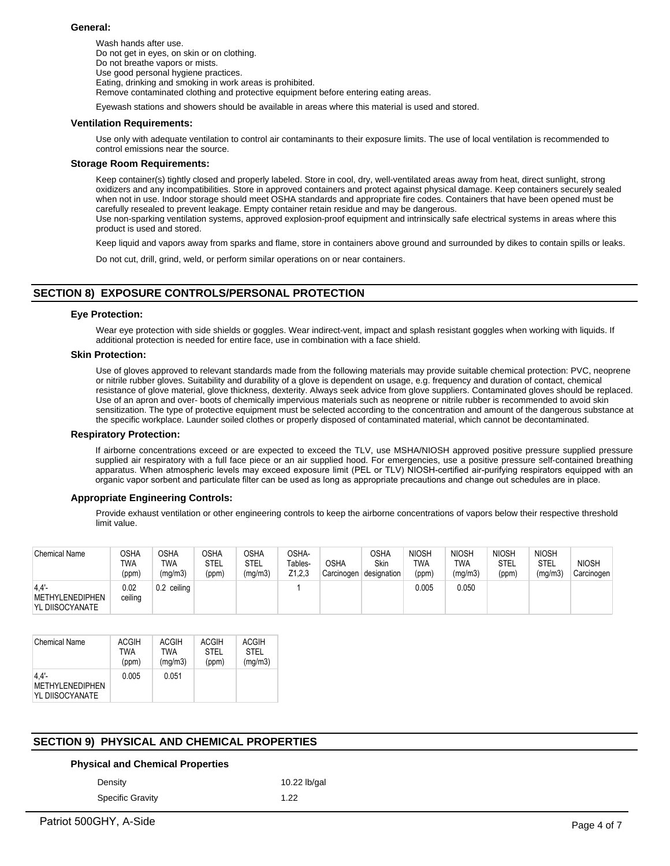### **General:**

Wash hands after use. Do not get in eyes, on skin or on clothing. Do not breathe vapors or mists. Use good personal hygiene practices. Eating, drinking and smoking in work areas is prohibited. Remove contaminated clothing and protective equipment before entering eating areas.

Eyewash stations and showers should be available in areas where this material is used and stored.

### **Ventilation Requirements:**

Use only with adequate ventilation to control air contaminants to their exposure limits. The use of local ventilation is recommended to control emissions near the source.

### **Storage Room Requirements:**

Keep container(s) tightly closed and properly labeled. Store in cool, dry, well-ventilated areas away from heat, direct sunlight, strong oxidizers and any incompatibilities. Store in approved containers and protect against physical damage. Keep containers securely sealed when not in use. Indoor storage should meet OSHA standards and appropriate fire codes. Containers that have been opened must be carefully resealed to prevent leakage. Empty container retain residue and may be dangerous. Use non-sparking ventilation systems, approved explosion-proof equipment and intrinsically safe electrical systems in areas where this product is used and stored.

Keep liquid and vapors away from sparks and flame, store in containers above ground and surrounded by dikes to contain spills or leaks.

Do not cut, drill, grind, weld, or perform similar operations on or near containers.

# **SECTION 8) EXPOSURE CONTROLS/PERSONAL PROTECTION**

### **Eye Protection:**

Wear eye protection with side shields or goggles. Wear indirect-vent, impact and splash resistant goggles when working with liquids. If additional protection is needed for entire face, use in combination with a face shield.

## **Skin Protection:**

Use of gloves approved to relevant standards made from the following materials may provide suitable chemical protection: PVC, neoprene or nitrile rubber gloves. Suitability and durability of a glove is dependent on usage, e.g. frequency and duration of contact, chemical resistance of glove material, glove thickness, dexterity. Always seek advice from glove suppliers. Contaminated gloves should be replaced. Use of an apron and over- boots of chemically impervious materials such as neoprene or nitrile rubber is recommended to avoid skin sensitization. The type of protective equipment must be selected according to the concentration and amount of the dangerous substance at the specific workplace. Launder soiled clothes or properly disposed of contaminated material, which cannot be decontaminated.

### **Respiratory Protection:**

If airborne concentrations exceed or are expected to exceed the TLV, use MSHA/NIOSH approved positive pressure supplied pressure supplied air respiratory with a full face piece or an air supplied hood. For emergencies, use a positive pressure self-contained breathing apparatus. When atmospheric levels may exceed exposure limit (PEL or TLV) NIOSH-certified air-purifying respirators equipped with an organic vapor sorbent and particulate filter can be used as long as appropriate precautions and change out schedules are in place.

### **Appropriate Engineering Controls:**

Provide exhaust ventilation or other engineering controls to keep the airborne concentrations of vapors below their respective threshold limit value.

| <b>Chemical Name</b>                       | OSHA<br>TWA<br>(ppm) | <b>OSHA</b><br>TWA<br>(mg/m3) | <b>OSHA</b><br>STEL<br>(ppm) | OSHA<br>STEL<br>(mg/m3) | OSHA-<br>Tables-<br>Z <sub>1</sub> ,2,3 | <b>OSHA</b><br>Carcinogen | OSHA<br><b>Skin</b><br>designation | <b>NIOSH</b><br><b>TWA</b><br>(ppm) | <b>NIOSH</b><br>TWA<br>(mg/m3) | <b>NIOSH</b><br><b>STEL</b><br>(ppm) | <b>NIOSH</b><br>STEL<br>(mg/m3) | <b>NIOSH</b><br>Carcinogen |
|--------------------------------------------|----------------------|-------------------------------|------------------------------|-------------------------|-----------------------------------------|---------------------------|------------------------------------|-------------------------------------|--------------------------------|--------------------------------------|---------------------------------|----------------------------|
| 4.4'<br>METHYLENEDIPHEN<br>YL DIISOCYANATE | 0.02<br>ceiling      | 0.2 ceiling                   |                              |                         |                                         |                           |                                    | 0.005                               | 0.050                          |                                      |                                 |                            |

| <b>Chemical Name</b>                                  | ACGIH | ACGIH   | <b>ACGIH</b> | <b>ACGIH</b> |
|-------------------------------------------------------|-------|---------|--------------|--------------|
|                                                       | TWA   | TWA     | <b>STEL</b>  | <b>STEL</b>  |
|                                                       | (ppm) | (mg/m3) | (ppm)        | (mg/m3)      |
| $4.4'$ -<br><b>METHYLENEDIPHEN</b><br>YL DIISOCYANATE | 0.005 | 0.051   |              |              |

# **SECTION 9) PHYSICAL AND CHEMICAL PROPERTIES**

### **Physical and Chemical Properties**

Density **10.22 lb/gal** 

Specific Gravity 1.22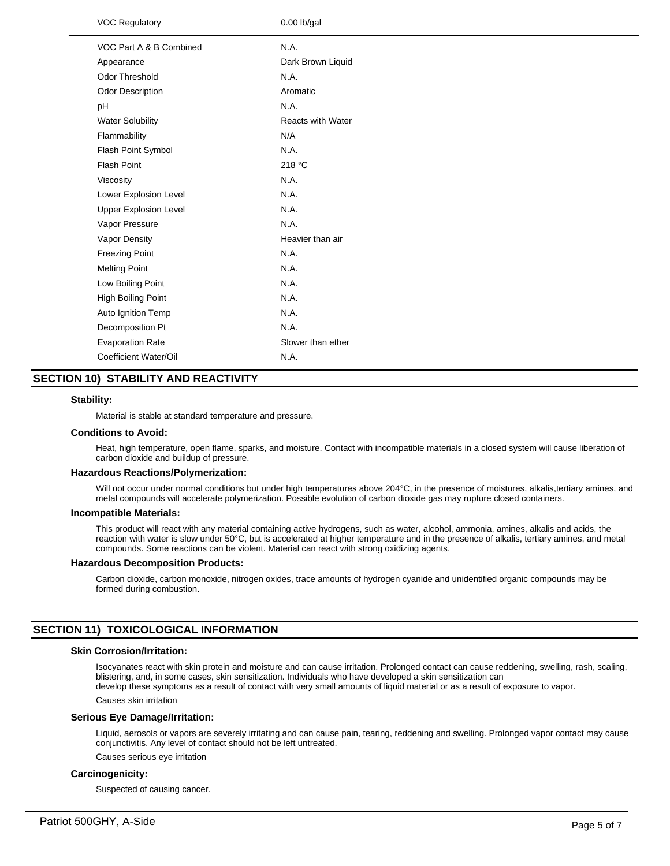| <b>VOC Regulatory</b>        | $0.00$ lb/gal            |
|------------------------------|--------------------------|
| VOC Part A & B Combined      | N.A.                     |
| Appearance                   | Dark Brown Liquid        |
| Odor Threshold               | N.A.                     |
| Odor Description             | Aromatic                 |
| pH                           | N.A.                     |
| <b>Water Solubility</b>      | <b>Reacts with Water</b> |
| Flammability                 | N/A                      |
| Flash Point Symbol           | N.A.                     |
| <b>Flash Point</b>           | 218 °C                   |
| Viscosity                    | N.A.                     |
| Lower Explosion Level        | N.A.                     |
| <b>Upper Explosion Level</b> | N.A.                     |
| Vapor Pressure               | N.A.                     |
| Vapor Density                | Heavier than air         |
| <b>Freezing Point</b>        | N.A.                     |
| <b>Melting Point</b>         | N.A.                     |
| Low Boiling Point            | N.A.                     |
| <b>High Boiling Point</b>    | N.A.                     |
| Auto Ignition Temp           | N.A.                     |
| Decomposition Pt             | N.A.                     |
| <b>Evaporation Rate</b>      | Slower than ether        |
| Coefficient Water/Oil        | N.A.                     |
|                              |                          |

# **SECTION 10) STABILITY AND REACTIVITY**

### **Stability:**

Material is stable at standard temperature and pressure.

### **Conditions to Avoid:**

Heat, high temperature, open flame, sparks, and moisture. Contact with incompatible materials in a closed system will cause liberation of carbon dioxide and buildup of pressure.

#### **Hazardous Reactions/Polymerization:**

Will not occur under normal conditions but under high temperatures above 204°C, in the presence of moistures, alkalis,tertiary amines, and metal compounds will accelerate polymerization. Possible evolution of carbon dioxide gas may rupture closed containers.

#### **Incompatible Materials:**

This product will react with any material containing active hydrogens, such as water, alcohol, ammonia, amines, alkalis and acids, the reaction with water is slow under 50°C, but is accelerated at higher temperature and in the presence of alkalis, tertiary amines, and metal compounds. Some reactions can be violent. Material can react with strong oxidizing agents.

### **Hazardous Decomposition Products:**

Carbon dioxide, carbon monoxide, nitrogen oxides, trace amounts of hydrogen cyanide and unidentified organic compounds may be formed during combustion.

# **SECTION 11) TOXICOLOGICAL INFORMATION**

# **Skin Corrosion/Irritation:**

Isocyanates react with skin protein and moisture and can cause irritation. Prolonged contact can cause reddening, swelling, rash, scaling, blistering, and, in some cases, skin sensitization. Individuals who have developed a skin sensitization can develop these symptoms as a result of contact with very small amounts of liquid material or as a result of exposure to vapor.

Causes skin irritation

### **Serious Eye Damage/Irritation:**

Liquid, aerosols or vapors are severely irritating and can cause pain, tearing, reddening and swelling. Prolonged vapor contact may cause conjunctivitis. Any level of contact should not be left untreated.

Causes serious eye irritation

# **Carcinogenicity:**

Suspected of causing cancer.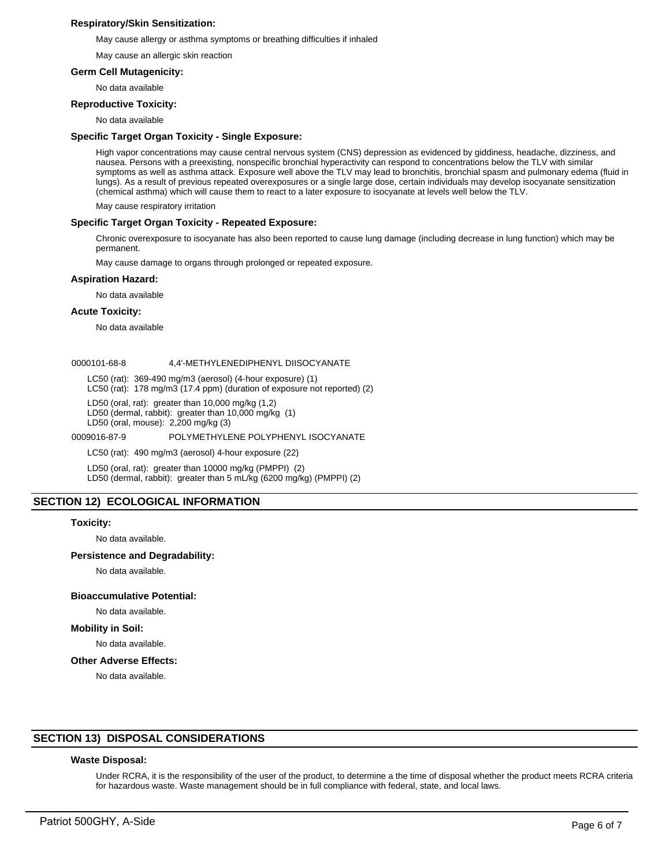### **Respiratory/Skin Sensitization:**

May cause allergy or asthma symptoms or breathing difficulties if inhaled

May cause an allergic skin reaction

### **Germ Cell Mutagenicity:**

No data available

### **Reproductive Toxicity:**

No data available

### **Specific Target Organ Toxicity - Single Exposure:**

High vapor concentrations may cause central nervous system (CNS) depression as evidenced by giddiness, headache, dizziness, and nausea. Persons with a preexisting, nonspecific bronchial hyperactivity can respond to concentrations below the TLV with similar symptoms as well as asthma attack. Exposure well above the TLV may lead to bronchitis, bronchial spasm and pulmonary edema (fluid in lungs). As a result of previous repeated overexposures or a single large dose, certain individuals may develop isocyanate sensitization (chemical asthma) which will cause them to react to a later exposure to isocyanate at levels well below the TLV.

May cause respiratory irritation

### **Specific Target Organ Toxicity - Repeated Exposure:**

Chronic overexposure to isocyanate has also been reported to cause lung damage (including decrease in lung function) which may be permanent.

May cause damage to organs through prolonged or repeated exposure.

### **Aspiration Hazard:**

No data available

### **Acute Toxicity:**

No data available

### 0000101-68-8 4,4'-METHYLENEDIPHENYL DIISOCYANATE

LC50 (rat): 369-490 mg/m3 (aerosol) (4-hour exposure) (1)

LC50 (rat): 178 mg/m3 (17.4 ppm) (duration of exposure not reported) (2)

LD50 (oral, rat): greater than 10,000 mg/kg (1,2)

LD50 (dermal, rabbit): greater than 10,000 mg/kg (1)

LD50 (oral, mouse): 2,200 mg/kg (3)

0009016-87-9 POLYMETHYLENE POLYPHENYL ISOCYANATE

LC50 (rat): 490 mg/m3 (aerosol) 4-hour exposure (22)

LD50 (oral, rat): greater than 10000 mg/kg (PMPPI) (2) LD50 (dermal, rabbit): greater than 5 mL/kg (6200 mg/kg) (PMPPI) (2)

# **SECTION 12) ECOLOGICAL INFORMATION**

### **Toxicity:**

No data available.

### **Persistence and Degradability:**

No data available.

### **Bioaccumulative Potential:**

# No data available.

**Mobility in Soil:**

No data available.

### **Other Adverse Effects:**

No data available.

# **SECTION 13) DISPOSAL CONSIDERATIONS**

### **Waste Disposal:**

Under RCRA, it is the responsibility of the user of the product, to determine a the time of disposal whether the product meets RCRA criteria for hazardous waste. Waste management should be in full compliance with federal, state, and local laws.